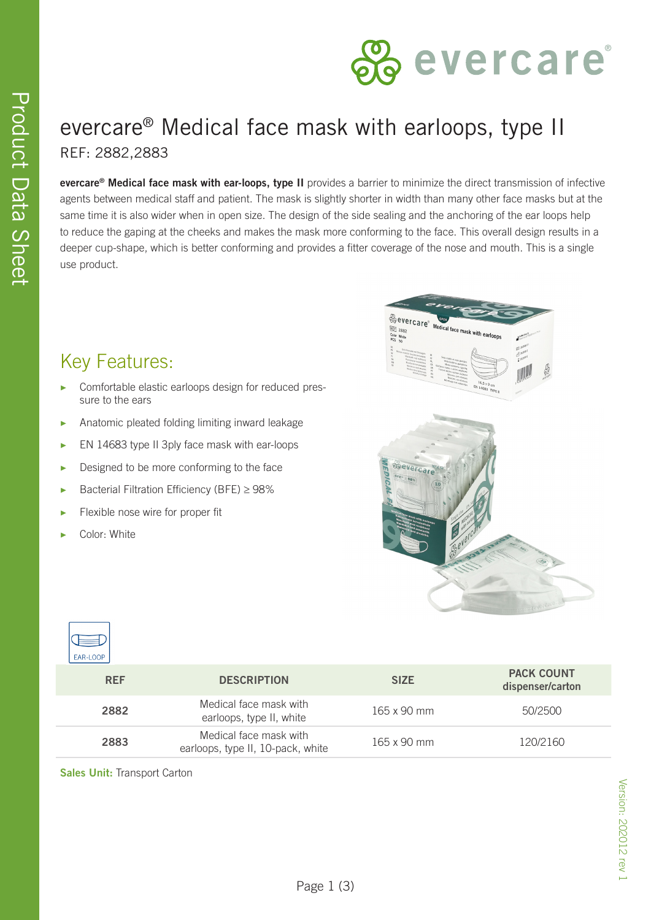

# evercare® Medical face mask with earloops, type II REF: 2882,2883

**evercare® Medical face mask with ear-loops, type II** provides a barrier to minimize the direct transmission of infective agents between medical staff and patient. The mask is slightly shorter in width than many other face masks but at the same time it is also wider when in open size. The design of the side sealing and the anchoring of the ear loops help to reduce the gaping at the cheeks and makes the mask more conforming to the face. This overall design results in a deeper cup-shape, which is better conforming and provides a fitter coverage of the nose and mouth. This is a single use product.

## Key Features:

- Comfortable elastic earloops design for reduced pressure to the ears
- Anatomic pleated folding limiting inward leakage
- ▶ EN 14683 type II 3ply face mask with ear-loops
- ▶ Designed to be more conforming to the face
- ▶ Bacterial Filtration Efficiency (BFE) ≥ 98%
- Flexible nose wire for proper fit
- Color: White





| <b>REF</b> | <b>DESCRIPTION</b>                                          | <b>SIZE</b>        | <b>PACK COUNT</b><br>dispenser/carton |
|------------|-------------------------------------------------------------|--------------------|---------------------------------------|
| 2882       | Medical face mask with<br>earloops, type II, white          | $165 \times 90$ mm | 50/2500                               |
| 2883       | Medical face mask with<br>earloops, type II, 10-pack, white | $165 \times 90$ mm | 120/2160                              |

#### **Sales Unit:** Transport Carton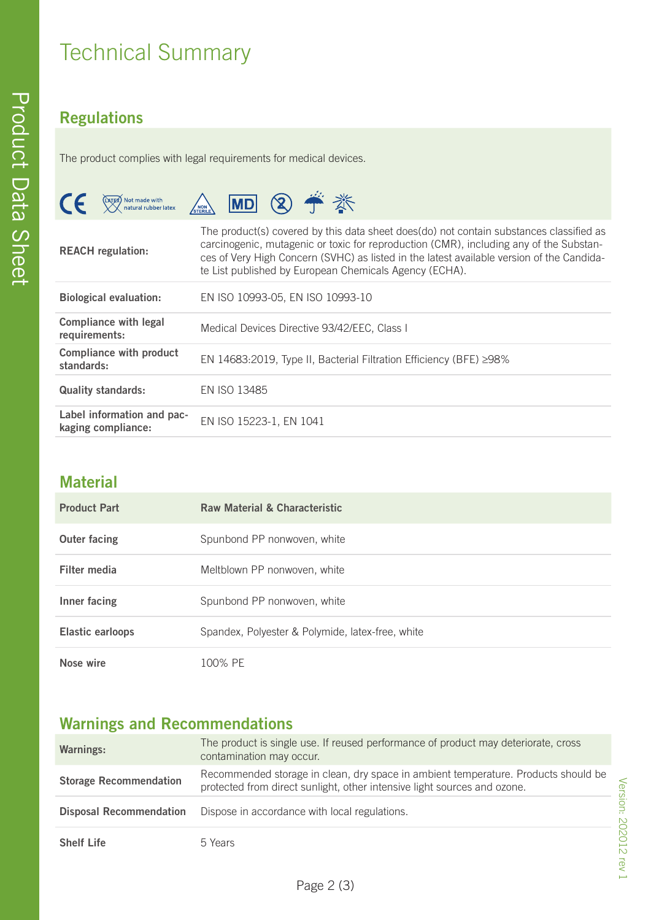## **Regulations**

The product complies with legal requirements for medical devices.

| $\epsilon$<br>(DATEX) Not made with<br>XX natural rubber latex | MD ② 一 卷<br>NON<br>STERILE                                                                                                                                                                                                                                                                                                               |  |
|----------------------------------------------------------------|------------------------------------------------------------------------------------------------------------------------------------------------------------------------------------------------------------------------------------------------------------------------------------------------------------------------------------------|--|
| <b>REACH</b> regulation:                                       | The product(s) covered by this data sheet does(do) not contain substances classified as<br>carcinogenic, mutagenic or toxic for reproduction (CMR), including any of the Substan-<br>ces of Very High Concern (SVHC) as listed in the latest available version of the Candida-<br>te List published by European Chemicals Agency (ECHA). |  |
| <b>Biological evaluation:</b>                                  | EN ISO 10993-05, EN ISO 10993-10                                                                                                                                                                                                                                                                                                         |  |
| <b>Compliance with legal</b><br>requirements:                  | Medical Devices Directive 93/42/EEC, Class I                                                                                                                                                                                                                                                                                             |  |
| <b>Compliance with product</b><br>standards:                   | EN 14683:2019, Type II, Bacterial Filtration Efficiency (BFE) ≥98%                                                                                                                                                                                                                                                                       |  |
| <b>Quality standards:</b>                                      | EN ISO 13485                                                                                                                                                                                                                                                                                                                             |  |
| Label information and pac-<br>kaging compliance:               | EN ISO 15223-1, EN 1041                                                                                                                                                                                                                                                                                                                  |  |

### **Material**

| <b>Product Part</b>     | <b>Raw Material &amp; Characteristic</b>         |
|-------------------------|--------------------------------------------------|
| <b>Outer facing</b>     | Spunbond PP nonwoven, white                      |
| Filter media            | Meltblown PP nonwoven, white                     |
| Inner facing            | Spunbond PP nonwoven, white                      |
| <b>Elastic earloops</b> | Spandex, Polyester & Polymide, latex-free, white |
| Nose wire               | 100% PF                                          |

## **Warnings and Recommendations**

| <b>Warnings:</b>               | The product is single use. If reused performance of product may deteriorate, cross<br>contamination may occur.                                                 |
|--------------------------------|----------------------------------------------------------------------------------------------------------------------------------------------------------------|
| <b>Storage Recommendation</b>  | Recommended storage in clean, dry space in ambient temperature. Products should be<br>protected from direct sunlight, other intensive light sources and ozone. |
| <b>Disposal Recommendation</b> | Dispose in accordance with local regulations.                                                                                                                  |
| <b>Shelf Life</b>              | 5 Years                                                                                                                                                        |